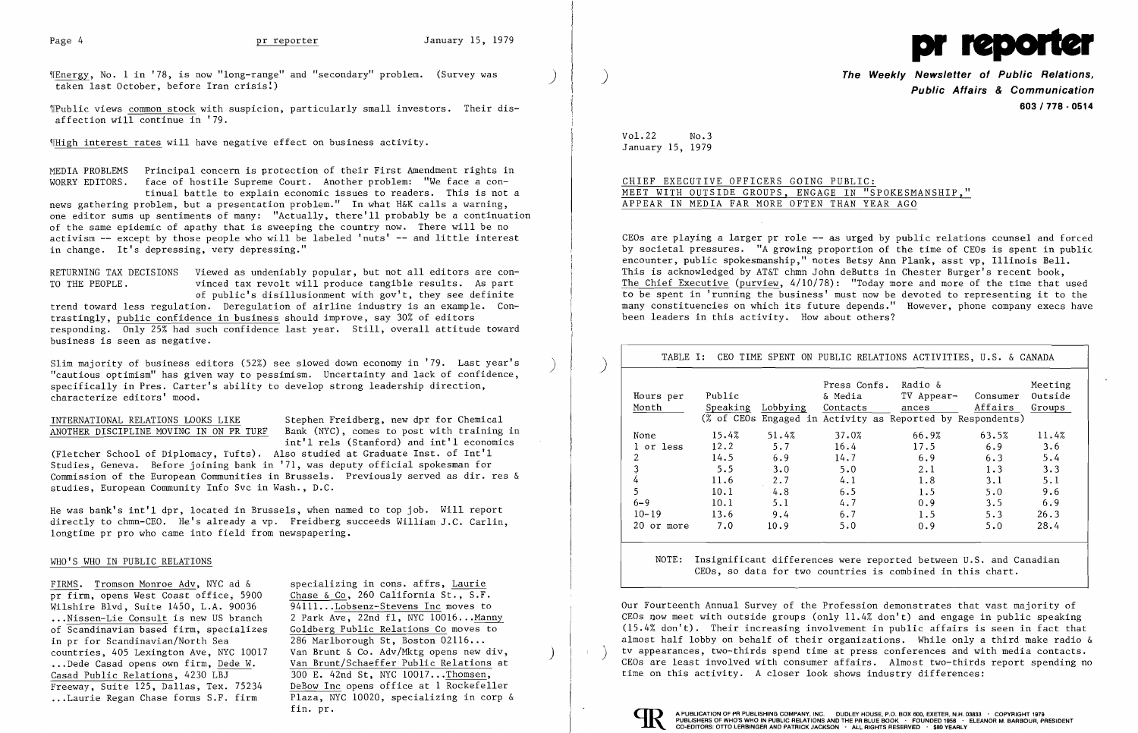$\P$ Energy, No. 1 in '78, is now "long-range" and "secondary" problem. (Survey was taken last October, before Iran crisis!)



~IPublic views common stock with suspicion, particularly small investors. Their disaffection will continue in  $'79$ .

9IHigh interest rates will have negative effect on business activity.

MEDIA PROBLEMS Principal concern is protection of their First Amendment rights in WORRY EDITORS. face of hostile Supreme Court. Another problem: "We face a continual battle to explain economic issues to readers. This is not a

news gathering problem, but a presentation problem." In what H&K calls a warning, one editor sums up sentiments of many: "Actually, there'll probably be a continuation of the same epidemic of apathy that is sweeping the country now. There will be no activism -- except by those people who will be labeled 'nuts' -- and little interest in change. It's depressing, very depressing."

Slim majority of business editors (52%) see slowed down economy in '79. Last year's "cautious optimism" has given way to pessimism. Uncertainty and lack of confidence. specifically in Pres. Carter's ability to develop strong leadership direction, characterize editors' mood.

# INTERNATIONAL RELATIONS LOOKS LIKE Stephen Freidberg, new dpr for Chemical<br>ANOTHER DISCIPLINE MOVING IN ON PR TURF Bank (NYC), comes to post with training

Bank (NYC), comes to post with training in int'l rels (Stanford) and int'l economics

RETURNING TAX DECISIONS Viewed as undeniably popular, but not all editors are con-TO THE PEOPLE. vinced tax revolt will produce tangible results. As part of public's disillusionment with gov't, they see definite trend toward less regulation. Deregulation of airline industry is an example. Contrastingly, public confidence in business should improve, say 30% of editors responding. Only 25% had such confidence last year. Still, overall attitude toward business is seen as negative.

(Fletcher School of Diplomacy, Tufts). Also studied at Graduate Inst. of Int'l Studies, Geneva. Before joining bank in '71, was deputy official spokesman for Commission of the European Communities in Brussels. Previously served as dir. res & studies, European Community Info Svc in Wash., D.C.

He was bank's int'l dpr, located in Brussels, when named to top job. Will report directly to chmn-CEO. He's already a vp. Freidberg succeeds William J.C. Carlin, longtime pr pro who came into field from newspapering.

### WHO'S WHO IN PUBLIC RELATIONS

pr firm, opens West Coast office, 5900 Chase & Co, 260 California St., S.F.<br>Wilshire Blvd, Suite 1450, L.A. 90036 94111...Lobsenz-Stevens Inc moves to Wilshire Blvd, Suite 1450, L.A. 90036<br>...Nissen-Lie Consult is new US branch. ... Nissen-Lie Consult is new US branch 2 Park Ave, 22nd fl, NYC 10016... Manny<br>of Scandinavian based firm, specializes Goldberg Public Relations Co moves to in pr for Scandinavian/North Sea  $\overline{286}$  Marlborough St, Boston 02116...<br>
countries. 405 Lexington Ave. NYC 10017 Van Brunt & Co. Adv/Mktg opens new div. countries, 405 Lexington Ave, NYC 10017 Van Brunt & Co. Adv/Mktg opens new div,<br>... Dede Casad opens own firm, <u>Dede W</u>. Van Brunt/Schaeffer Public Relations at<br>Casad Public Relations, 4230 LBJ 300 E. 42nd St, NYC 10017...  $r_{\text{Freeway}}$ , Suite 125, Dallas, Tex. 75234

FIRMS. Tromson Monroe Adv, NYC ad & specializing in cons. affrs, Laurie Goldberg Public Relations Co moves to 300 E. 42nd St, NYC 10017...Thomsen,<br>DeBow Inc opens office at 1 Rockefeller ...Laurie Regan Chase forms S.F. firm Plaza, NYC 10020, specializing in corp & fin. pr.

)

)

**The Weekly Newsletter of Public Relations, Public Affairs & Communication 603/778 - 0514** 

Vol.22 No.3 January 15, 1979

CHIEF EXECUTIVE OFFICERS GOING PUBLIC: MEET WITH OUTSIDE GROUPS, ENGAGE IN "SPOKESMANSHIP," APPEAR IN MEDIA FAR MORE OFTEN THAN YEAR AGO

CEOs are playing a larger pr role -- as urged by public relations counsel and forced by societal pressures. "A growing proportion of the time of CEOs is spent in public encounter, public spokesmanship," notes Betsy Ann Plank, asst vp, Illinois Bell. This is acknowledged by AT&T chmn John deButts in Chester Burger's recent book, The Chief Executive (purview, 4/10/78): "Today more and more of the time that used to be spent in 'running the business' must now be devoted to representing it to the many constituencies on which its future depends." However, phone company execs have been leaders in this activity. How about others?

|                |          |          | Press Confs. Radio & |                                                            |          | Meeting |
|----------------|----------|----------|----------------------|------------------------------------------------------------|----------|---------|
| Hours per      | Public   |          | & Media              | TV Appear-                                                 | Consumer | Outside |
| Month          | Speaking | Lobbying | Contacts             | ances                                                      | Affairs  | Groups  |
|                |          |          |                      | (% of CEOs Engaged in Activity as Reported by Respondents) |          |         |
| None           | 15.4%    | 51.4%    | 37.0%                | 66.9%                                                      | 63.5%    | 11.4%   |
| l or less      | 12.2     | 5.7      | 16.4                 | 17.5                                                       | 6.9      | 3.6     |
| 2              | 14.5     | 6.9      | 14.7                 | 6.9                                                        | 6.3      | 5.4     |
| 3              | 5.5      | 3.0      | 5.0                  | 2.1                                                        | 1.3      | 3.3     |
| $\overline{4}$ | 11.6     | 2.7      | 4.1                  | 1.8                                                        | 3.1      | 5.1     |
| 5              | 10.1     | 4.8      | 6.5                  | 1.5                                                        | 5.0      | 9.6     |
| $6 - 9$        | 10.1     | 5.1      | 4.7                  | 0.9                                                        | 3.5      | 6.9     |
| $10 - 19$      | 13.6     | 9.4      | 6.7                  | 1.5                                                        | 5.3      | 26.3    |
| 20 or more     | 7.0      | 10.9     | 5.0                  | 0.9                                                        | 5.0      | 28.4    |

NOTE: Insignificant differences were reported between U.S. and Canadian CEOs, so data for two countries is combined in this chart.

Our Fourteenth Annual Survey of the Profession demonstrates that vast majority of CEOs now meet with outside groups (only 11.4% don't) and engage in public speaking (15.4% don't). Their increasing involvement in public affairs is seen in fact that almost half lobby on behalf of their organizations. While only a third make radio & tv appearances, two-thirds spend time at press conferences and with media contacts. CEOs are least involved with consumer affairs. Almost two-thirds report spending no time on this activity. A closer look shows industry differences:



 $\sum$ 

 $\sim$